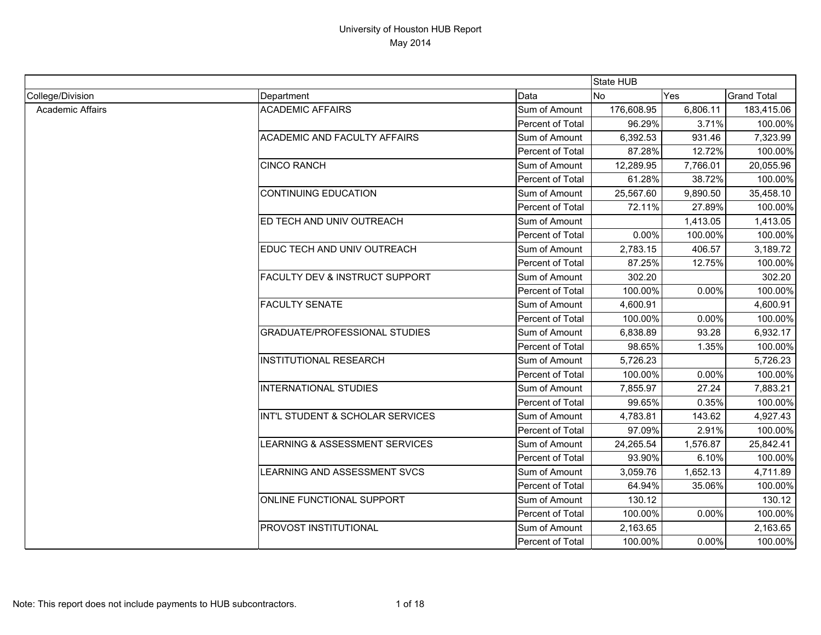|                         |                                           |                  | <b>State HUB</b> |          |                    |
|-------------------------|-------------------------------------------|------------------|------------------|----------|--------------------|
| College/Division        | Department                                | Data             | <b>No</b>        | Yes      | <b>Grand Total</b> |
| <b>Academic Affairs</b> | <b>ACADEMIC AFFAIRS</b>                   | Sum of Amount    | 176,608.95       | 6,806.11 | 183,415.06         |
|                         |                                           | Percent of Total | 96.29%           | 3.71%    | 100.00%            |
|                         | <b>ACADEMIC AND FACULTY AFFAIRS</b>       | Sum of Amount    | 6,392.53         | 931.46   | 7,323.99           |
|                         |                                           | Percent of Total | 87.28%           | 12.72%   | 100.00%            |
|                         | <b>CINCO RANCH</b>                        | Sum of Amount    | 12,289.95        | 7,766.01 | 20,055.96          |
|                         |                                           | Percent of Total | 61.28%           | 38.72%   | 100.00%            |
|                         | <b>CONTINUING EDUCATION</b>               | Sum of Amount    | 25,567.60        | 9,890.50 | 35,458.10          |
|                         |                                           | Percent of Total | 72.11%           | 27.89%   | 100.00%            |
|                         | ED TECH AND UNIV OUTREACH                 | Sum of Amount    |                  | 1,413.05 | 1,413.05           |
|                         |                                           | Percent of Total | 0.00%            | 100.00%  | 100.00%            |
|                         | EDUC TECH AND UNIV OUTREACH               | Sum of Amount    | 2,783.15         | 406.57   | 3,189.72           |
|                         |                                           | Percent of Total | 87.25%           | 12.75%   | 100.00%            |
|                         | <b>FACULTY DEV &amp; INSTRUCT SUPPORT</b> | Sum of Amount    | 302.20           |          | 302.20             |
|                         |                                           | Percent of Total | 100.00%          | 0.00%    | 100.00%            |
|                         | <b>FACULTY SENATE</b>                     | Sum of Amount    | 4,600.91         |          | 4,600.91           |
|                         |                                           | Percent of Total | 100.00%          | 0.00%    | 100.00%            |
|                         | <b>GRADUATE/PROFESSIONAL STUDIES</b>      | Sum of Amount    | 6,838.89         | 93.28    | 6,932.17           |
|                         |                                           | Percent of Total | 98.65%           | 1.35%    | 100.00%            |
|                         | <b>INSTITUTIONAL RESEARCH</b>             | Sum of Amount    | 5,726.23         |          | 5,726.23           |
|                         |                                           | Percent of Total | 100.00%          | 0.00%    | 100.00%            |
|                         | <b>INTERNATIONAL STUDIES</b>              | Sum of Amount    | 7,855.97         | 27.24    | 7,883.21           |
|                         |                                           | Percent of Total | 99.65%           | 0.35%    | 100.00%            |
|                         | INT'L STUDENT & SCHOLAR SERVICES          | Sum of Amount    | 4,783.81         | 143.62   | 4,927.43           |
|                         |                                           | Percent of Total | 97.09%           | 2.91%    | 100.00%            |
|                         | LEARNING & ASSESSMENT SERVICES            | Sum of Amount    | 24,265.54        | 1,576.87 | 25,842.41          |
|                         |                                           | Percent of Total | 93.90%           | 6.10%    | 100.00%            |
|                         | LEARNING AND ASSESSMENT SVCS              | Sum of Amount    | 3,059.76         | 1,652.13 | 4,711.89           |
|                         |                                           | Percent of Total | 64.94%           | 35.06%   | 100.00%            |
|                         | ONLINE FUNCTIONAL SUPPORT                 | Sum of Amount    | 130.12           |          | 130.12             |
|                         |                                           | Percent of Total | 100.00%          | 0.00%    | 100.00%            |
|                         | PROVOST INSTITUTIONAL                     | Sum of Amount    | 2,163.65         |          | 2,163.65           |
|                         |                                           | Percent of Total | 100.00%          | 0.00%    | 100.00%            |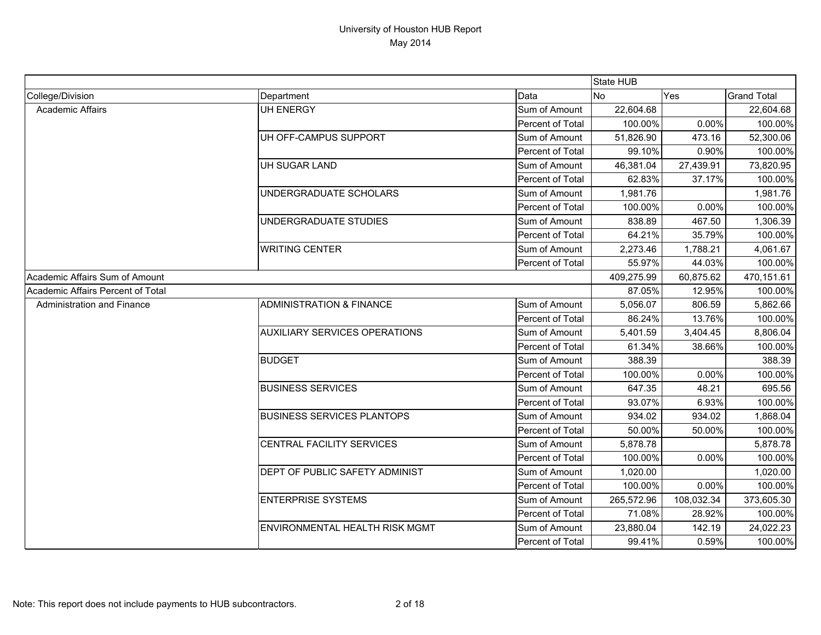|                                   |                                      |                  | State HUB      |            |                    |
|-----------------------------------|--------------------------------------|------------------|----------------|------------|--------------------|
| College/Division                  | Department                           | Data             | N <sub>o</sub> | Yes        | <b>Grand Total</b> |
| <b>Academic Affairs</b>           | <b>UH ENERGY</b>                     | Sum of Amount    | 22,604.68      |            | 22,604.68          |
|                                   |                                      | Percent of Total | 100.00%        | 0.00%      | 100.00%            |
|                                   | UH OFF-CAMPUS SUPPORT                | Sum of Amount    | 51,826.90      | 473.16     | 52,300.06          |
|                                   |                                      | Percent of Total | 99.10%         | 0.90%      | 100.00%            |
|                                   | UH SUGAR LAND                        | Sum of Amount    | 46,381.04      | 27,439.91  | 73,820.95          |
|                                   |                                      | Percent of Total | 62.83%         | 37.17%     | 100.00%            |
|                                   | UNDERGRADUATE SCHOLARS               | Sum of Amount    | 1,981.76       |            | 1,981.76           |
|                                   |                                      | Percent of Total | 100.00%        | 0.00%      | 100.00%            |
|                                   | <b>UNDERGRADUATE STUDIES</b>         | Sum of Amount    | 838.89         | 467.50     | 1,306.39           |
|                                   |                                      | Percent of Total | 64.21%         | 35.79%     | 100.00%            |
|                                   | <b>WRITING CENTER</b>                | Sum of Amount    | 2,273.46       | 1,788.21   | 4,061.67           |
|                                   |                                      | Percent of Total | 55.97%         | 44.03%     | 100.00%            |
| Academic Affairs Sum of Amount    |                                      |                  | 409,275.99     | 60,875.62  | 470,151.61         |
| Academic Affairs Percent of Total |                                      |                  | 87.05%         | 12.95%     | 100.00%            |
| <b>Administration and Finance</b> | <b>ADMINISTRATION &amp; FINANCE</b>  | Sum of Amount    | 5,056.07       | 806.59     | 5,862.66           |
|                                   |                                      | Percent of Total | 86.24%         | 13.76%     | 100.00%            |
|                                   | <b>AUXILIARY SERVICES OPERATIONS</b> | Sum of Amount    | 5,401.59       | 3,404.45   | 8,806.04           |
|                                   |                                      | Percent of Total | 61.34%         | 38.66%     | 100.00%            |
|                                   | <b>BUDGET</b>                        | Sum of Amount    | 388.39         |            | 388.39             |
|                                   |                                      | Percent of Total | 100.00%        | 0.00%      | 100.00%            |
|                                   | <b>BUSINESS SERVICES</b>             | Sum of Amount    | 647.35         | 48.21      | 695.56             |
|                                   |                                      | Percent of Total | 93.07%         | 6.93%      | 100.00%            |
|                                   | <b>BUSINESS SERVICES PLANTOPS</b>    | Sum of Amount    | 934.02         | 934.02     | 1,868.04           |
|                                   |                                      | Percent of Total | 50.00%         | 50.00%     | 100.00%            |
|                                   | CENTRAL FACILITY SERVICES            | Sum of Amount    | 5,878.78       |            | 5,878.78           |
|                                   |                                      | Percent of Total | 100.00%        | 0.00%      | 100.00%            |
|                                   | DEPT OF PUBLIC SAFETY ADMINIST       | Sum of Amount    | 1,020.00       |            | 1,020.00           |
|                                   |                                      | Percent of Total | 100.00%        | 0.00%      | 100.00%            |
|                                   | <b>ENTERPRISE SYSTEMS</b>            | Sum of Amount    | 265,572.96     | 108,032.34 | 373,605.30         |
|                                   |                                      | Percent of Total | 71.08%         | 28.92%     | 100.00%            |
|                                   | ENVIRONMENTAL HEALTH RISK MGMT       | Sum of Amount    | 23,880.04      | 142.19     | 24,022.23          |
|                                   |                                      | Percent of Total | 99.41%         | 0.59%      | 100.00%            |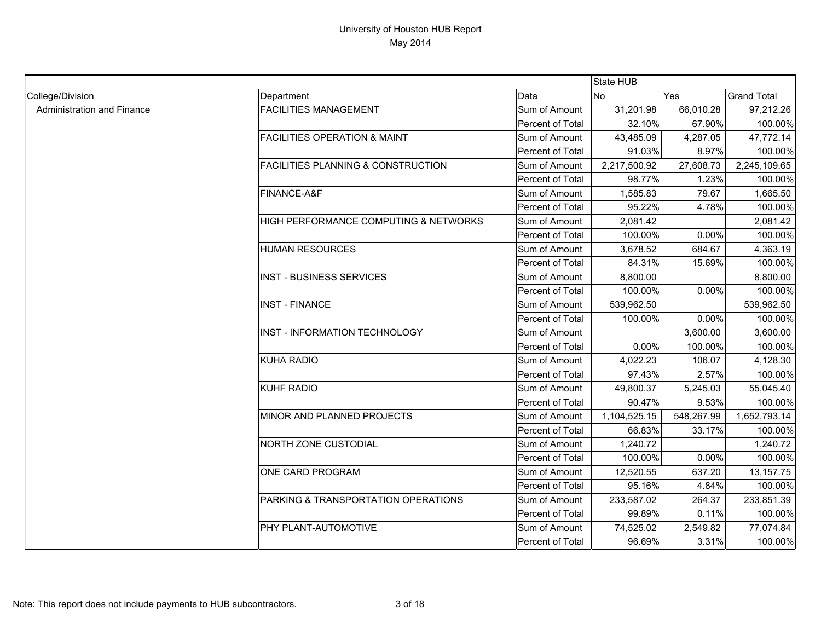|                            |                                               |                  | State HUB    |            |                    |
|----------------------------|-----------------------------------------------|------------------|--------------|------------|--------------------|
| College/Division           | Department                                    | Data             | <b>No</b>    | Yes        | <b>Grand Total</b> |
| Administration and Finance | <b>FACILITIES MANAGEMENT</b>                  | Sum of Amount    | 31,201.98    | 66,010.28  | 97,212.26          |
|                            |                                               | Percent of Total | 32.10%       | 67.90%     | 100.00%            |
|                            | <b>FACILITIES OPERATION &amp; MAINT</b>       | Sum of Amount    | 43,485.09    | 4,287.05   | 47,772.14          |
|                            |                                               | Percent of Total | 91.03%       | 8.97%      | 100.00%            |
|                            | <b>FACILITIES PLANNING &amp; CONSTRUCTION</b> | Sum of Amount    | 2,217,500.92 | 27,608.73  | 2,245,109.65       |
|                            |                                               | Percent of Total | 98.77%       | 1.23%      | 100.00%            |
|                            | FINANCE-A&F                                   | Sum of Amount    | 1,585.83     | 79.67      | 1,665.50           |
|                            |                                               | Percent of Total | 95.22%       | 4.78%      | 100.00%            |
|                            | HIGH PERFORMANCE COMPUTING & NETWORKS         | Sum of Amount    | 2,081.42     |            | 2,081.42           |
|                            |                                               | Percent of Total | 100.00%      | 0.00%      | 100.00%            |
|                            | <b>HUMAN RESOURCES</b>                        | Sum of Amount    | 3,678.52     | 684.67     | 4,363.19           |
|                            |                                               | Percent of Total | 84.31%       | 15.69%     | 100.00%            |
|                            | <b>INST - BUSINESS SERVICES</b>               | Sum of Amount    | 8,800.00     |            | 8,800.00           |
|                            |                                               | Percent of Total | 100.00%      | 0.00%      | 100.00%            |
|                            | <b>INST - FINANCE</b>                         | Sum of Amount    | 539,962.50   |            | 539,962.50         |
|                            |                                               | Percent of Total | 100.00%      | 0.00%      | 100.00%            |
|                            | INST - INFORMATION TECHNOLOGY                 | Sum of Amount    |              | 3,600.00   | 3,600.00           |
|                            |                                               | Percent of Total | 0.00%        | 100.00%    | 100.00%            |
|                            | <b>KUHA RADIO</b>                             | Sum of Amount    | 4,022.23     | 106.07     | 4,128.30           |
|                            |                                               | Percent of Total | 97.43%       | 2.57%      | 100.00%            |
|                            | <b>KUHF RADIO</b>                             | Sum of Amount    | 49,800.37    | 5,245.03   | 55,045.40          |
|                            |                                               | Percent of Total | 90.47%       | 9.53%      | 100.00%            |
|                            | MINOR AND PLANNED PROJECTS                    | Sum of Amount    | 1,104,525.15 | 548,267.99 | 1,652,793.14       |
|                            |                                               | Percent of Total | 66.83%       | 33.17%     | 100.00%            |
|                            | NORTH ZONE CUSTODIAL                          | Sum of Amount    | 1,240.72     |            | 1,240.72           |
|                            |                                               | Percent of Total | 100.00%      | 0.00%      | 100.00%            |
|                            | ONE CARD PROGRAM                              | Sum of Amount    | 12,520.55    | 637.20     | 13,157.75          |
|                            |                                               | Percent of Total | 95.16%       | 4.84%      | 100.00%            |
|                            | PARKING & TRANSPORTATION OPERATIONS           | Sum of Amount    | 233,587.02   | 264.37     | 233,851.39         |
|                            |                                               | Percent of Total | 99.89%       | 0.11%      | 100.00%            |
|                            | PHY PLANT-AUTOMOTIVE                          | Sum of Amount    | 74,525.02    | 2,549.82   | 77,074.84          |
|                            |                                               | Percent of Total | 96.69%       | 3.31%      | 100.00%            |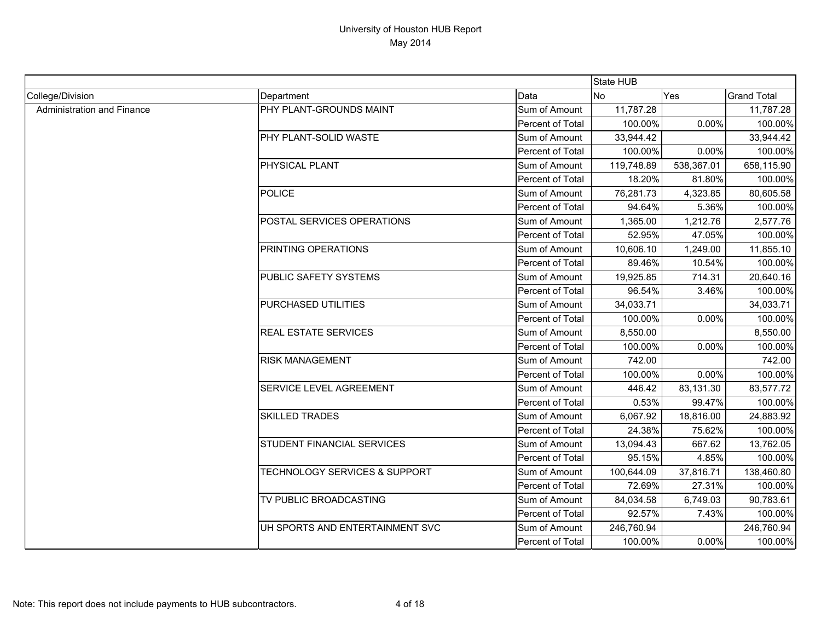|                            |                                          |                  | State HUB  |            |                    |
|----------------------------|------------------------------------------|------------------|------------|------------|--------------------|
| College/Division           | Department                               | Data             | <b>No</b>  | Yes        | <b>Grand Total</b> |
| Administration and Finance | PHY PLANT-GROUNDS MAINT                  | Sum of Amount    | 11,787.28  |            | 11,787.28          |
|                            |                                          | Percent of Total | 100.00%    | 0.00%      | 100.00%            |
|                            | PHY PLANT-SOLID WASTE                    | Sum of Amount    | 33,944.42  |            | 33,944.42          |
|                            |                                          | Percent of Total | 100.00%    | 0.00%      | 100.00%            |
|                            | PHYSICAL PLANT                           | Sum of Amount    | 119,748.89 | 538,367.01 | 658,115.90         |
|                            |                                          | Percent of Total | 18.20%     | 81.80%     | 100.00%            |
|                            | <b>POLICE</b>                            | Sum of Amount    | 76,281.73  | 4,323.85   | 80,605.58          |
|                            |                                          | Percent of Total | 94.64%     | 5.36%      | 100.00%            |
|                            | POSTAL SERVICES OPERATIONS               | Sum of Amount    | 1,365.00   | 1,212.76   | 2,577.76           |
|                            |                                          | Percent of Total | 52.95%     | 47.05%     | 100.00%            |
|                            | PRINTING OPERATIONS                      | Sum of Amount    | 10,606.10  | 1,249.00   | 11,855.10          |
|                            |                                          | Percent of Total | 89.46%     | 10.54%     | 100.00%            |
|                            | PUBLIC SAFETY SYSTEMS                    | Sum of Amount    | 19,925.85  | 714.31     | 20,640.16          |
|                            |                                          | Percent of Total | 96.54%     | 3.46%      | 100.00%            |
|                            | PURCHASED UTILITIES                      | Sum of Amount    | 34,033.71  |            | 34,033.71          |
|                            |                                          | Percent of Total | 100.00%    | 0.00%      | 100.00%            |
|                            | <b>REAL ESTATE SERVICES</b>              | Sum of Amount    | 8,550.00   |            | 8,550.00           |
|                            |                                          | Percent of Total | 100.00%    | 0.00%      | 100.00%            |
|                            | <b>RISK MANAGEMENT</b>                   | Sum of Amount    | 742.00     |            | 742.00             |
|                            |                                          | Percent of Total | 100.00%    | 0.00%      | 100.00%            |
|                            | <b>SERVICE LEVEL AGREEMENT</b>           | Sum of Amount    | 446.42     | 83,131.30  | 83,577.72          |
|                            |                                          | Percent of Total | 0.53%      | 99.47%     | 100.00%            |
|                            | <b>SKILLED TRADES</b>                    | Sum of Amount    | 6,067.92   | 18,816.00  | 24,883.92          |
|                            |                                          | Percent of Total | 24.38%     | 75.62%     | 100.00%            |
|                            | STUDENT FINANCIAL SERVICES               | Sum of Amount    | 13,094.43  | 667.62     | 13,762.05          |
|                            |                                          | Percent of Total | 95.15%     | 4.85%      | 100.00%            |
|                            | <b>TECHNOLOGY SERVICES &amp; SUPPORT</b> | Sum of Amount    | 100,644.09 | 37,816.71  | 138,460.80         |
|                            |                                          | Percent of Total | 72.69%     | 27.31%     | 100.00%            |
|                            | TV PUBLIC BROADCASTING                   | Sum of Amount    | 84,034.58  | 6,749.03   | 90,783.61          |
|                            |                                          | Percent of Total | 92.57%     | 7.43%      | 100.00%            |
|                            | UH SPORTS AND ENTERTAINMENT SVC          | Sum of Amount    | 246,760.94 |            | 246,760.94         |
|                            |                                          | Percent of Total | 100.00%    | 0.00%      | 100.00%            |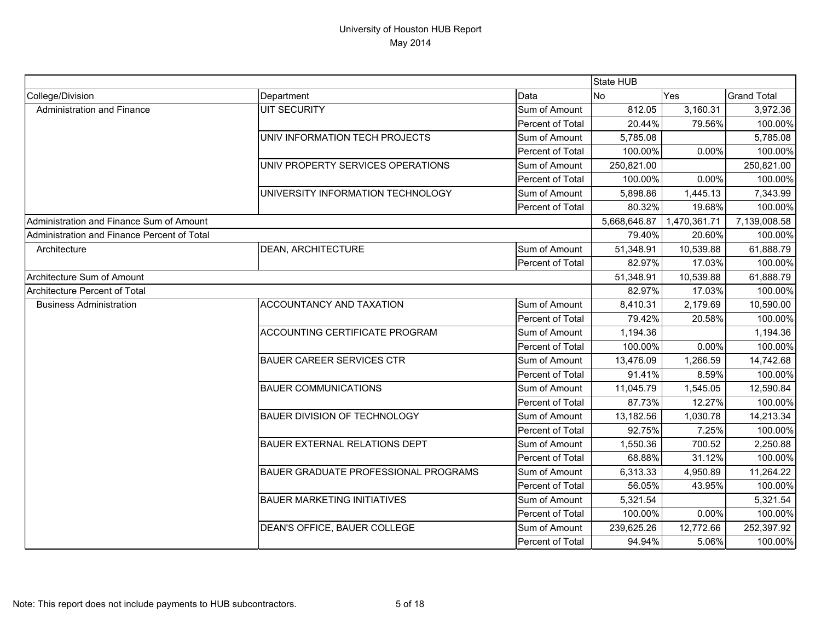|                                             |                                             |                  | <b>State HUB</b> |              |                    |
|---------------------------------------------|---------------------------------------------|------------------|------------------|--------------|--------------------|
| College/Division                            | Department                                  | Data             | <b>No</b>        | Yes          | <b>Grand Total</b> |
| Administration and Finance                  | <b>UIT SECURITY</b>                         | Sum of Amount    | 812.05           | 3,160.31     | 3,972.36           |
|                                             |                                             | Percent of Total | 20.44%           | 79.56%       | 100.00%            |
|                                             | UNIV INFORMATION TECH PROJECTS              | Sum of Amount    | 5,785.08         |              | 5,785.08           |
|                                             |                                             | Percent of Total | 100.00%          | 0.00%        | 100.00%            |
|                                             | UNIV PROPERTY SERVICES OPERATIONS           | Sum of Amount    | 250,821.00       |              | 250,821.00         |
|                                             |                                             | Percent of Total | 100.00%          | 0.00%        | 100.00%            |
|                                             | UNIVERSITY INFORMATION TECHNOLOGY           | Sum of Amount    | 5,898.86         | 1,445.13     | 7,343.99           |
|                                             |                                             | Percent of Total | 80.32%           | 19.68%       | 100.00%            |
| Administration and Finance Sum of Amount    |                                             |                  | 5,668,646.87     | 1,470,361.71 | 7,139,008.58       |
| Administration and Finance Percent of Total |                                             |                  | 79.40%           | 20.60%       | 100.00%            |
| Architecture                                | <b>DEAN, ARCHITECTURE</b>                   | Sum of Amount    | 51,348.91        | 10,539.88    | 61,888.79          |
|                                             |                                             | Percent of Total | 82.97%           | 17.03%       | 100.00%            |
| Architecture Sum of Amount                  |                                             |                  | 51,348.91        | 10,539.88    | 61,888.79          |
| Architecture Percent of Total               |                                             |                  | 82.97%           | 17.03%       | 100.00%            |
| <b>Business Administration</b>              | ACCOUNTANCY AND TAXATION                    | Sum of Amount    | 8,410.31         | 2,179.69     | 10,590.00          |
|                                             |                                             | Percent of Total | 79.42%           | 20.58%       | 100.00%            |
|                                             | ACCOUNTING CERTIFICATE PROGRAM              | Sum of Amount    | 1,194.36         |              | 1,194.36           |
|                                             |                                             | Percent of Total | 100.00%          | 0.00%        | 100.00%            |
|                                             | <b>BAUER CAREER SERVICES CTR</b>            | Sum of Amount    | 13,476.09        | 1,266.59     | 14,742.68          |
|                                             |                                             | Percent of Total | 91.41%           | 8.59%        | 100.00%            |
|                                             | <b>BAUER COMMUNICATIONS</b>                 | Sum of Amount    | 11,045.79        | 1,545.05     | 12,590.84          |
|                                             |                                             | Percent of Total | 87.73%           | 12.27%       | 100.00%            |
|                                             | <b>BAUER DIVISION OF TECHNOLOGY</b>         | Sum of Amount    | 13,182.56        | 1,030.78     | 14,213.34          |
|                                             |                                             | Percent of Total | 92.75%           | 7.25%        | 100.00%            |
|                                             | <b>BAUER EXTERNAL RELATIONS DEPT</b>        | Sum of Amount    | 1,550.36         | 700.52       | 2,250.88           |
|                                             |                                             | Percent of Total | 68.88%           | 31.12%       | 100.00%            |
|                                             | <b>BAUER GRADUATE PROFESSIONAL PROGRAMS</b> | Sum of Amount    | 6,313.33         | 4,950.89     | 11,264.22          |
|                                             |                                             | Percent of Total | 56.05%           | 43.95%       | 100.00%            |
|                                             | <b>BAUER MARKETING INITIATIVES</b>          | Sum of Amount    | 5,321.54         |              | 5,321.54           |
|                                             |                                             | Percent of Total | 100.00%          | 0.00%        | 100.00%            |
|                                             | DEAN'S OFFICE, BAUER COLLEGE                | Sum of Amount    | 239,625.26       | 12,772.66    | 252,397.92         |
|                                             |                                             | Percent of Total | 94.94%           | 5.06%        | 100.00%            |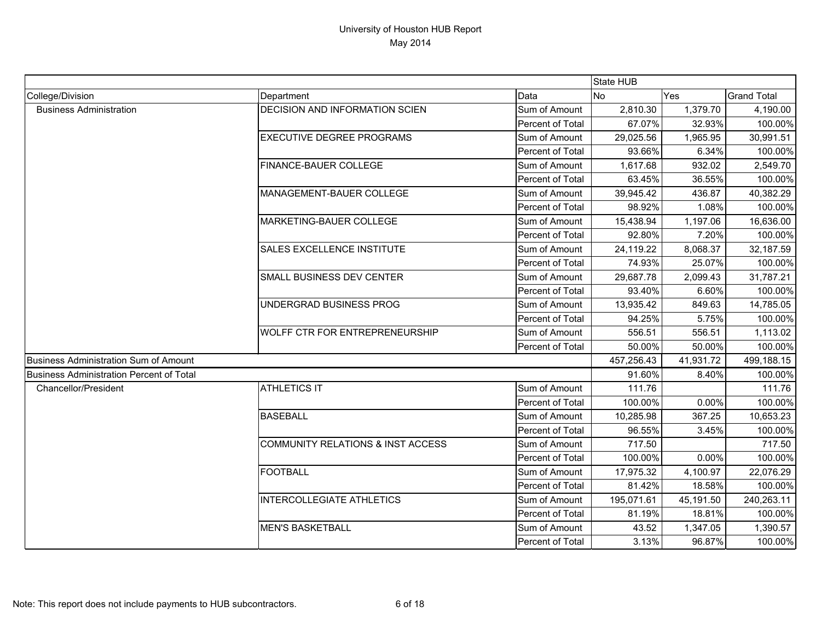|                                                 |                                              |                  | State HUB  |           |                    |
|-------------------------------------------------|----------------------------------------------|------------------|------------|-----------|--------------------|
| College/Division                                | Department                                   | Data             | <b>No</b>  | Yes       | <b>Grand Total</b> |
| <b>Business Administration</b>                  | <b>DECISION AND INFORMATION SCIEN</b>        | Sum of Amount    | 2,810.30   | 1,379.70  | 4,190.00           |
|                                                 |                                              | Percent of Total | 67.07%     | 32.93%    | 100.00%            |
|                                                 | <b>EXECUTIVE DEGREE PROGRAMS</b>             | Sum of Amount    | 29,025.56  | 1,965.95  | 30,991.51          |
|                                                 |                                              | Percent of Total | 93.66%     | 6.34%     | 100.00%            |
|                                                 | <b>FINANCE-BAUER COLLEGE</b>                 | Sum of Amount    | 1,617.68   | 932.02    | 2,549.70           |
|                                                 |                                              | Percent of Total | 63.45%     | 36.55%    | 100.00%            |
|                                                 | MANAGEMENT-BAUER COLLEGE                     | Sum of Amount    | 39,945.42  | 436.87    | 40,382.29          |
|                                                 |                                              | Percent of Total | 98.92%     | 1.08%     | 100.00%            |
|                                                 | MARKETING-BAUER COLLEGE                      | Sum of Amount    | 15,438.94  | 1,197.06  | 16,636.00          |
|                                                 |                                              | Percent of Total | 92.80%     | 7.20%     | 100.00%            |
|                                                 | SALES EXCELLENCE INSTITUTE                   | Sum of Amount    | 24,119.22  | 8,068.37  | 32,187.59          |
|                                                 |                                              | Percent of Total | 74.93%     | 25.07%    | 100.00%            |
|                                                 | SMALL BUSINESS DEV CENTER                    | Sum of Amount    | 29,687.78  | 2,099.43  | 31,787.21          |
|                                                 |                                              | Percent of Total | 93.40%     | 6.60%     | 100.00%            |
|                                                 | UNDERGRAD BUSINESS PROG                      | Sum of Amount    | 13,935.42  | 849.63    | 14,785.05          |
|                                                 |                                              | Percent of Total | 94.25%     | 5.75%     | 100.00%            |
|                                                 | <b>WOLFF CTR FOR ENTREPRENEURSHIP</b>        | Sum of Amount    | 556.51     | 556.51    | 1,113.02           |
|                                                 |                                              | Percent of Total | 50.00%     | 50.00%    | 100.00%            |
| Business Administration Sum of Amount           |                                              |                  | 457,256.43 | 41,931.72 | 499,188.15         |
| <b>Business Administration Percent of Total</b> |                                              |                  | 91.60%     | 8.40%     | 100.00%            |
| <b>Chancellor/President</b>                     | <b>ATHLETICS IT</b>                          | Sum of Amount    | 111.76     |           | 111.76             |
|                                                 |                                              | Percent of Total | 100.00%    | 0.00%     | 100.00%            |
|                                                 | <b>BASEBALL</b>                              | Sum of Amount    | 10,285.98  | 367.25    | 10,653.23          |
|                                                 |                                              | Percent of Total | 96.55%     | 3.45%     | 100.00%            |
|                                                 | <b>COMMUNITY RELATIONS &amp; INST ACCESS</b> | Sum of Amount    | 717.50     |           | 717.50             |
|                                                 |                                              | Percent of Total | 100.00%    | 0.00%     | 100.00%            |
|                                                 | <b>FOOTBALL</b>                              | Sum of Amount    | 17,975.32  | 4,100.97  | 22,076.29          |
|                                                 |                                              | Percent of Total | 81.42%     | 18.58%    | 100.00%            |
|                                                 | <b>INTERCOLLEGIATE ATHLETICS</b>             | Sum of Amount    | 195,071.61 | 45,191.50 | 240,263.11         |
|                                                 |                                              | Percent of Total | 81.19%     | 18.81%    | 100.00%            |
|                                                 | <b>MEN'S BASKETBALL</b>                      | Sum of Amount    | 43.52      | 1,347.05  | 1,390.57           |
|                                                 |                                              | Percent of Total | 3.13%      | 96.87%    | 100.00%            |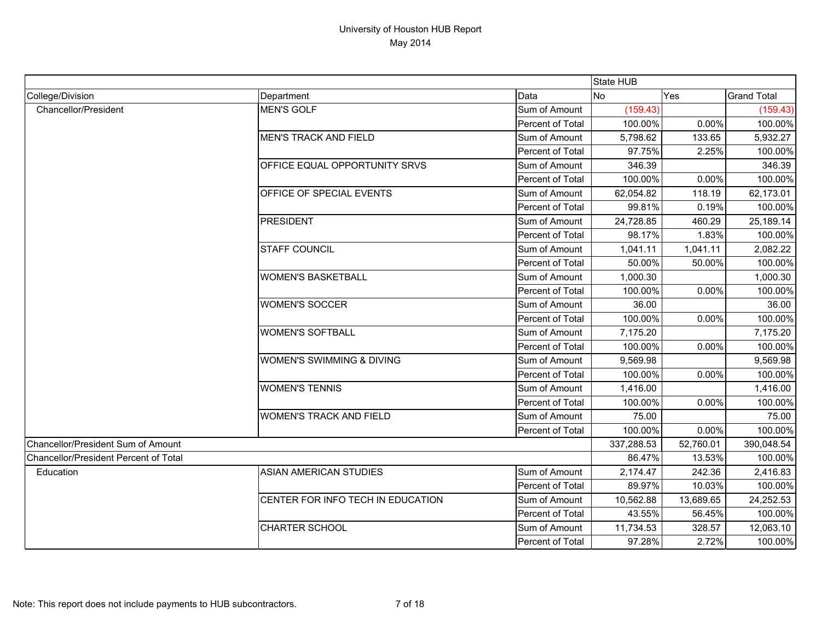|                                       |                                   |                         | State HUB  |           |                    |
|---------------------------------------|-----------------------------------|-------------------------|------------|-----------|--------------------|
| College/Division                      | Department                        | Data                    | No         | Yes       | <b>Grand Total</b> |
| <b>Chancellor/President</b>           | MEN'S GOLF                        | Sum of Amount           | (159.43)   |           | (159.43)           |
|                                       |                                   | Percent of Total        | 100.00%    | 0.00%     | 100.00%            |
|                                       | <b>MEN'S TRACK AND FIELD</b>      | Sum of Amount           | 5,798.62   | 133.65    | 5,932.27           |
|                                       |                                   | Percent of Total        | 97.75%     | 2.25%     | 100.00%            |
|                                       | OFFICE EQUAL OPPORTUNITY SRVS     | Sum of Amount           | 346.39     |           | 346.39             |
|                                       |                                   | Percent of Total        | 100.00%    | 0.00%     | 100.00%            |
|                                       | OFFICE OF SPECIAL EVENTS          | Sum of Amount           | 62,054.82  | 118.19    | 62,173.01          |
|                                       |                                   | Percent of Total        | 99.81%     | 0.19%     | 100.00%            |
|                                       | <b>PRESIDENT</b>                  | Sum of Amount           | 24,728.85  | 460.29    | 25,189.14          |
|                                       |                                   | Percent of Total        | 98.17%     | 1.83%     | 100.00%            |
|                                       | <b>STAFF COUNCIL</b>              | Sum of Amount           | 1,041.11   | 1,041.11  | 2,082.22           |
|                                       |                                   | Percent of Total        | 50.00%     | 50.00%    | 100.00%            |
|                                       | <b>WOMEN'S BASKETBALL</b>         | Sum of Amount           | 1,000.30   |           | 1,000.30           |
|                                       |                                   | Percent of Total        | 100.00%    | 0.00%     | 100.00%            |
|                                       | <b>WOMEN'S SOCCER</b>             | Sum of Amount           | 36.00      |           | 36.00              |
|                                       |                                   | Percent of Total        | 100.00%    | 0.00%     | 100.00%            |
|                                       | <b>WOMEN'S SOFTBALL</b>           | Sum of Amount           | 7,175.20   |           | 7,175.20           |
|                                       |                                   | Percent of Total        | 100.00%    | 0.00%     | 100.00%            |
|                                       | WOMEN'S SWIMMING & DIVING         | Sum of Amount           | 9,569.98   |           | 9,569.98           |
|                                       |                                   | Percent of Total        | 100.00%    | 0.00%     | 100.00%            |
|                                       | <b>WOMEN'S TENNIS</b>             | Sum of Amount           | 1,416.00   |           | 1,416.00           |
|                                       |                                   | Percent of Total        | 100.00%    | 0.00%     | 100.00%            |
|                                       | <b>WOMEN'S TRACK AND FIELD</b>    | Sum of Amount           | 75.00      |           | 75.00              |
|                                       |                                   | <b>Percent of Total</b> | 100.00%    | 0.00%     | 100.00%            |
| Chancellor/President Sum of Amount    |                                   |                         | 337,288.53 | 52,760.01 | 390,048.54         |
| Chancellor/President Percent of Total |                                   |                         | 86.47%     | 13.53%    | 100.00%            |
| Education                             | <b>ASIAN AMERICAN STUDIES</b>     | Sum of Amount           | 2,174.47   | 242.36    | 2,416.83           |
|                                       |                                   | Percent of Total        | 89.97%     | 10.03%    | 100.00%            |
|                                       | CENTER FOR INFO TECH IN EDUCATION | Sum of Amount           | 10,562.88  | 13,689.65 | 24,252.53          |
|                                       |                                   | Percent of Total        | 43.55%     | 56.45%    | 100.00%            |
|                                       | CHARTER SCHOOL                    | Sum of Amount           | 11,734.53  | 328.57    | 12,063.10          |
|                                       |                                   | Percent of Total        | 97.28%     | 2.72%     | 100.00%            |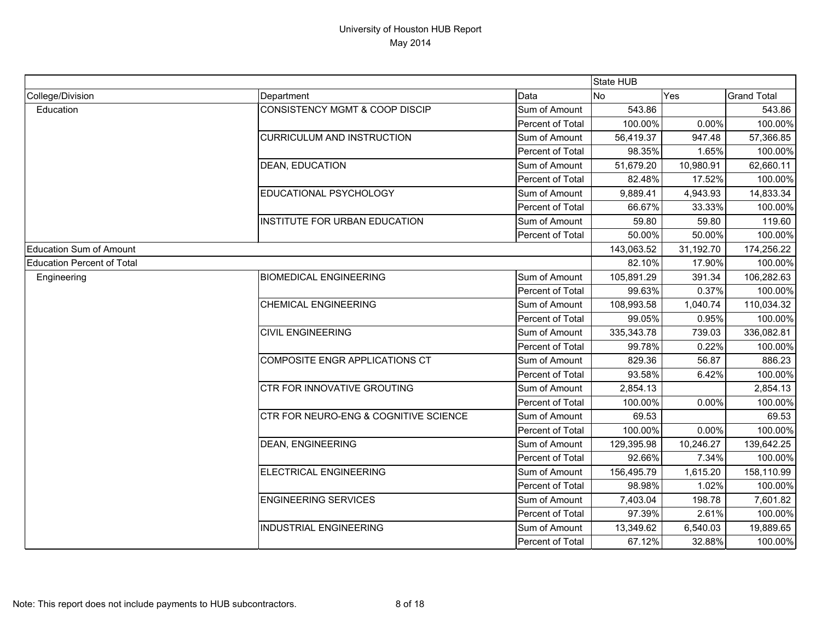|                                   |                                           |                  | State HUB    |           |                    |
|-----------------------------------|-------------------------------------------|------------------|--------------|-----------|--------------------|
| College/Division                  | Department                                | Data             | <b>No</b>    | Yes       | <b>Grand Total</b> |
| Education                         | <b>CONSISTENCY MGMT &amp; COOP DISCIP</b> | Sum of Amount    | 543.86       |           | 543.86             |
|                                   |                                           | Percent of Total | 100.00%      | 0.00%     | 100.00%            |
|                                   | <b>CURRICULUM AND INSTRUCTION</b>         | Sum of Amount    | 56,419.37    | 947.48    | 57,366.85          |
|                                   |                                           | Percent of Total | 98.35%       | 1.65%     | 100.00%            |
|                                   | DEAN, EDUCATION                           | Sum of Amount    | 51,679.20    | 10,980.91 | 62,660.11          |
|                                   |                                           | Percent of Total | 82.48%       | 17.52%    | 100.00%            |
|                                   | EDUCATIONAL PSYCHOLOGY                    | Sum of Amount    | 9,889.41     | 4,943.93  | 14,833.34          |
|                                   |                                           | Percent of Total | 66.67%       | 33.33%    | 100.00%            |
|                                   | INSTITUTE FOR URBAN EDUCATION             | Sum of Amount    | 59.80        | 59.80     | 119.60             |
|                                   |                                           | Percent of Total | 50.00%       | 50.00%    | 100.00%            |
| <b>Education Sum of Amount</b>    |                                           |                  | 143,063.52   | 31,192.70 | 174,256.22         |
| <b>Education Percent of Total</b> |                                           |                  | 82.10%       | 17.90%    | 100.00%            |
| Engineering                       | <b>BIOMEDICAL ENGINEERING</b>             | Sum of Amount    | 105,891.29   | 391.34    | 106,282.63         |
|                                   |                                           | Percent of Total | 99.63%       | 0.37%     | 100.00%            |
|                                   | <b>CHEMICAL ENGINEERING</b>               | Sum of Amount    | 108,993.58   | 1,040.74  | 110,034.32         |
|                                   |                                           | Percent of Total | 99.05%       | 0.95%     | 100.00%            |
|                                   | <b>CIVIL ENGINEERING</b>                  | Sum of Amount    | 335, 343. 78 | 739.03    | 336,082.81         |
|                                   |                                           | Percent of Total | 99.78%       | 0.22%     | 100.00%            |
|                                   | COMPOSITE ENGR APPLICATIONS CT            | Sum of Amount    | 829.36       | 56.87     | 886.23             |
|                                   |                                           | Percent of Total | 93.58%       | 6.42%     | 100.00%            |
|                                   | CTR FOR INNOVATIVE GROUTING               | Sum of Amount    | 2,854.13     |           | 2,854.13           |
|                                   |                                           | Percent of Total | 100.00%      | 0.00%     | 100.00%            |
|                                   | CTR FOR NEURO-ENG & COGNITIVE SCIENCE     | Sum of Amount    | 69.53        |           | 69.53              |
|                                   |                                           | Percent of Total | 100.00%      | 0.00%     | 100.00%            |
|                                   | <b>DEAN, ENGINEERING</b>                  | Sum of Amount    | 129,395.98   | 10,246.27 | 139,642.25         |
|                                   |                                           | Percent of Total | 92.66%       | 7.34%     | 100.00%            |
|                                   | <b>ELECTRICAL ENGINEERING</b>             | Sum of Amount    | 156,495.79   | 1,615.20  | 158,110.99         |
|                                   |                                           | Percent of Total | 98.98%       | 1.02%     | 100.00%            |
|                                   | <b>ENGINEERING SERVICES</b>               | Sum of Amount    | 7,403.04     | 198.78    | 7,601.82           |
|                                   |                                           | Percent of Total | 97.39%       | 2.61%     | 100.00%            |
|                                   | <b>INDUSTRIAL ENGINEERING</b>             | Sum of Amount    | 13,349.62    | 6,540.03  | 19,889.65          |
|                                   |                                           | Percent of Total | 67.12%       | 32.88%    | 100.00%            |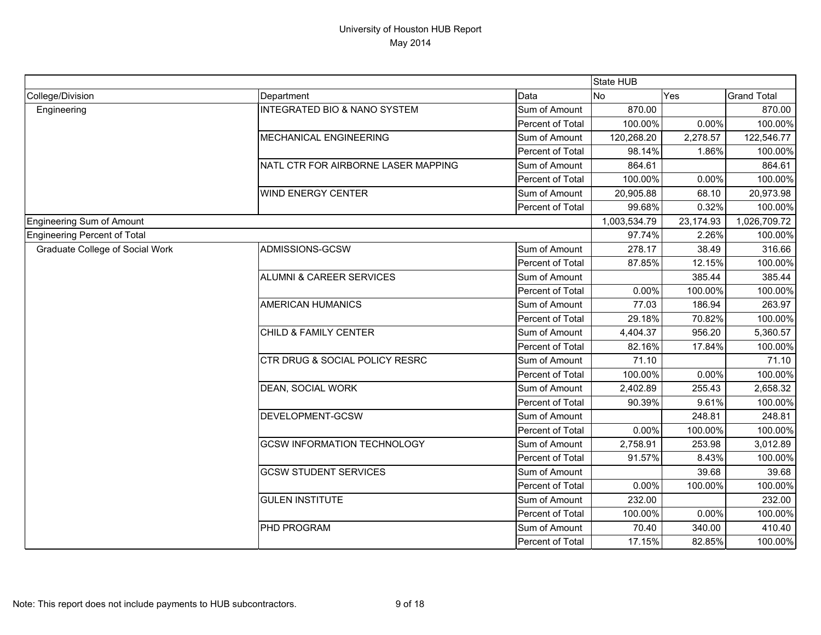|                                        |                                         |                  | State HUB    |           |                    |
|----------------------------------------|-----------------------------------------|------------------|--------------|-----------|--------------------|
| College/Division                       | Department                              | Data             | <b>No</b>    | Yes       | <b>Grand Total</b> |
| Engineering                            | <b>INTEGRATED BIO &amp; NANO SYSTEM</b> | Sum of Amount    | 870.00       |           | 870.00             |
|                                        |                                         | Percent of Total | 100.00%      | 0.00%     | 100.00%            |
|                                        | <b>MECHANICAL ENGINEERING</b>           | Sum of Amount    | 120,268.20   | 2,278.57  | 122,546.77         |
|                                        |                                         | Percent of Total | 98.14%       | 1.86%     | 100.00%            |
|                                        | NATL CTR FOR AIRBORNE LASER MAPPING     | Sum of Amount    | 864.61       |           | 864.61             |
|                                        |                                         | Percent of Total | 100.00%      | 0.00%     | 100.00%            |
|                                        | <b>WIND ENERGY CENTER</b>               | Sum of Amount    | 20,905.88    | 68.10     | 20,973.98          |
|                                        |                                         | Percent of Total | 99.68%       | 0.32%     | 100.00%            |
| Engineering Sum of Amount              |                                         |                  | 1,003,534.79 | 23,174.93 | 1,026,709.72       |
| Engineering Percent of Total           |                                         |                  | 97.74%       | 2.26%     | 100.00%            |
| <b>Graduate College of Social Work</b> | ADMISSIONS-GCSW                         | Sum of Amount    | 278.17       | 38.49     | 316.66             |
|                                        |                                         | Percent of Total | 87.85%       | 12.15%    | 100.00%            |
|                                        | <b>ALUMNI &amp; CAREER SERVICES</b>     | Sum of Amount    |              | 385.44    | 385.44             |
|                                        |                                         | Percent of Total | 0.00%        | 100.00%   | 100.00%            |
|                                        | <b>AMERICAN HUMANICS</b>                | Sum of Amount    | 77.03        | 186.94    | 263.97             |
|                                        |                                         | Percent of Total | 29.18%       | 70.82%    | 100.00%            |
|                                        | CHILD & FAMILY CENTER                   | Sum of Amount    | 4,404.37     | 956.20    | 5,360.57           |
|                                        |                                         | Percent of Total | 82.16%       | 17.84%    | 100.00%            |
|                                        | CTR DRUG & SOCIAL POLICY RESRC          | Sum of Amount    | 71.10        |           | 71.10              |
|                                        |                                         | Percent of Total | 100.00%      | 0.00%     | 100.00%            |
|                                        | <b>DEAN, SOCIAL WORK</b>                | Sum of Amount    | 2,402.89     | 255.43    | 2,658.32           |
|                                        |                                         | Percent of Total | 90.39%       | 9.61%     | 100.00%            |
|                                        | DEVELOPMENT-GCSW                        | Sum of Amount    |              | 248.81    | 248.81             |
|                                        |                                         | Percent of Total | 0.00%        | 100.00%   | 100.00%            |
|                                        | <b>GCSW INFORMATION TECHNOLOGY</b>      | Sum of Amount    | 2,758.91     | 253.98    | 3,012.89           |
|                                        |                                         | Percent of Total | 91.57%       | 8.43%     | 100.00%            |
|                                        | <b>GCSW STUDENT SERVICES</b>            | Sum of Amount    |              | 39.68     | 39.68              |
|                                        |                                         | Percent of Total | 0.00%        | 100.00%   | 100.00%            |
|                                        | <b>GULEN INSTITUTE</b>                  | Sum of Amount    | 232.00       |           | 232.00             |
|                                        |                                         | Percent of Total | 100.00%      | 0.00%     | 100.00%            |
|                                        | PHD PROGRAM                             | Sum of Amount    | 70.40        | 340.00    | 410.40             |
|                                        |                                         | Percent of Total | 17.15%       | 82.85%    | 100.00%            |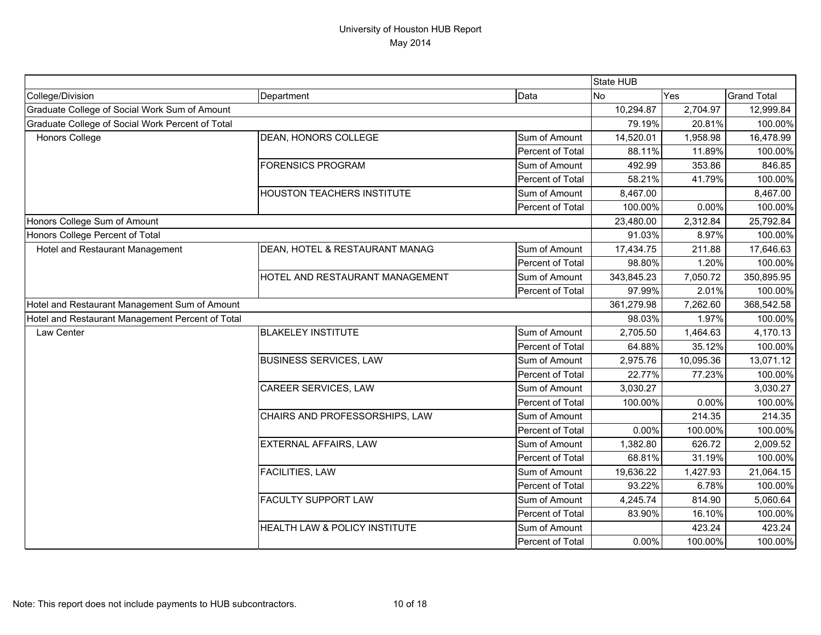|                                                  |                                          |                  | State HUB  |           |                    |
|--------------------------------------------------|------------------------------------------|------------------|------------|-----------|--------------------|
| College/Division                                 | Department                               | Data             | <b>No</b>  | Yes       | <b>Grand Total</b> |
| Graduate College of Social Work Sum of Amount    |                                          |                  | 10,294.87  | 2,704.97  | 12,999.84          |
| Graduate College of Social Work Percent of Total |                                          |                  | 79.19%     | 20.81%    | 100.00%            |
| <b>Honors College</b>                            | <b>DEAN, HONORS COLLEGE</b>              | Sum of Amount    | 14,520.01  | 1,958.98  | 16,478.99          |
|                                                  |                                          | Percent of Total | 88.11%     | 11.89%    | 100.00%            |
|                                                  | <b>FORENSICS PROGRAM</b>                 | Sum of Amount    | 492.99     | 353.86    | 846.85             |
|                                                  |                                          | Percent of Total | 58.21%     | 41.79%    | 100.00%            |
|                                                  | <b>HOUSTON TEACHERS INSTITUTE</b>        | Sum of Amount    | 8,467.00   |           | 8,467.00           |
|                                                  |                                          | Percent of Total | 100.00%    | 0.00%     | 100.00%            |
| Honors College Sum of Amount                     |                                          |                  | 23,480.00  | 2,312.84  | 25,792.84          |
| Honors College Percent of Total                  |                                          |                  | 91.03%     | 8.97%     | 100.00%            |
| Hotel and Restaurant Management                  | DEAN, HOTEL & RESTAURANT MANAG           | Sum of Amount    | 17,434.75  | 211.88    | 17,646.63          |
|                                                  |                                          | Percent of Total | 98.80%     | 1.20%     | 100.00%            |
|                                                  | HOTEL AND RESTAURANT MANAGEMENT          | Sum of Amount    | 343,845.23 | 7,050.72  | 350,895.95         |
|                                                  |                                          | Percent of Total | 97.99%     | 2.01%     | 100.00%            |
| Hotel and Restaurant Management Sum of Amount    |                                          |                  | 361,279.98 | 7,262.60  | 368,542.58         |
| Hotel and Restaurant Management Percent of Total |                                          |                  | 98.03%     | 1.97%     | 100.00%            |
| Law Center                                       | <b>BLAKELEY INSTITUTE</b>                | Sum of Amount    | 2,705.50   | 1,464.63  | 4,170.13           |
|                                                  |                                          | Percent of Total | 64.88%     | 35.12%    | 100.00%            |
|                                                  | <b>BUSINESS SERVICES, LAW</b>            | Sum of Amount    | 2,975.76   | 10,095.36 | 13,071.12          |
|                                                  |                                          | Percent of Total | 22.77%     | 77.23%    | 100.00%            |
|                                                  | CAREER SERVICES, LAW                     | Sum of Amount    | 3,030.27   |           | 3,030.27           |
|                                                  |                                          | Percent of Total | 100.00%    | 0.00%     | 100.00%            |
|                                                  | CHAIRS AND PROFESSORSHIPS, LAW           | Sum of Amount    |            | 214.35    | 214.35             |
|                                                  |                                          | Percent of Total | 0.00%      | 100.00%   | 100.00%            |
|                                                  | EXTERNAL AFFAIRS, LAW                    | Sum of Amount    | 1,382.80   | 626.72    | 2,009.52           |
|                                                  |                                          | Percent of Total | 68.81%     | 31.19%    | 100.00%            |
|                                                  | <b>FACILITIES, LAW</b>                   | Sum of Amount    | 19,636.22  | 1,427.93  | 21,064.15          |
|                                                  |                                          | Percent of Total | 93.22%     | 6.78%     | 100.00%            |
|                                                  | <b>FACULTY SUPPORT LAW</b>               | Sum of Amount    | 4,245.74   | 814.90    | 5,060.64           |
|                                                  |                                          | Percent of Total | 83.90%     | 16.10%    | 100.00%            |
|                                                  | <b>HEALTH LAW &amp; POLICY INSTITUTE</b> | Sum of Amount    |            | 423.24    | 423.24             |
|                                                  |                                          | Percent of Total | 0.00%      | 100.00%   | 100.00%            |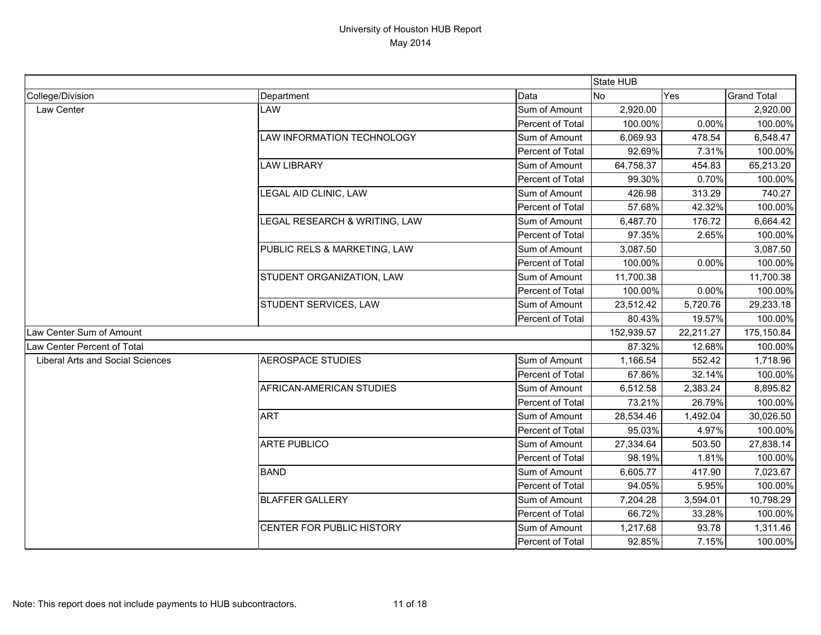|                                         |                                   |                  | State HUB  |           |                    |
|-----------------------------------------|-----------------------------------|------------------|------------|-----------|--------------------|
| College/Division                        | Department                        | Data             | <b>No</b>  | Yes       | <b>Grand Total</b> |
| Law Center                              | LAW                               | Sum of Amount    | 2,920.00   |           | 2,920.00           |
|                                         |                                   | Percent of Total | 100.00%    | 0.00%     | 100.00%            |
|                                         | <b>LAW INFORMATION TECHNOLOGY</b> | Sum of Amount    | 6,069.93   | 478.54    | 6,548.47           |
|                                         |                                   | Percent of Total | 92.69%     | 7.31%     | 100.00%            |
|                                         | <b>LAW LIBRARY</b>                | Sum of Amount    | 64,758.37  | 454.83    | 65,213.20          |
|                                         |                                   | Percent of Total | 99.30%     | 0.70%     | 100.00%            |
|                                         | <b>LEGAL AID CLINIC, LAW</b>      | Sum of Amount    | 426.98     | 313.29    | 740.27             |
|                                         |                                   | Percent of Total | 57.68%     | 42.32%    | 100.00%            |
|                                         | LEGAL RESEARCH & WRITING, LAW     | Sum of Amount    | 6,487.70   | 176.72    | 6,664.42           |
|                                         |                                   | Percent of Total | 97.35%     | 2.65%     | 100.00%            |
|                                         | PUBLIC RELS & MARKETING, LAW      | Sum of Amount    | 3,087.50   |           | 3,087.50           |
|                                         |                                   | Percent of Total | 100.00%    | 0.00%     | 100.00%            |
|                                         | STUDENT ORGANIZATION, LAW         | Sum of Amount    | 11,700.38  |           | 11,700.38          |
|                                         |                                   | Percent of Total | 100.00%    | 0.00%     | 100.00%            |
|                                         | STUDENT SERVICES, LAW             | Sum of Amount    | 23,512.42  | 5,720.76  | 29,233.18          |
|                                         |                                   | Percent of Total | 80.43%     | 19.57%    | 100.00%            |
| Law Center Sum of Amount                |                                   |                  | 152,939.57 | 22,211.27 | 175,150.84         |
| Law Center Percent of Total             |                                   |                  | 87.32%     | 12.68%    | 100.00%            |
| <b>Liberal Arts and Social Sciences</b> | <b>AEROSPACE STUDIES</b>          | Sum of Amount    | 1,166.54   | 552.42    | 1,718.96           |
|                                         |                                   | Percent of Total | 67.86%     | 32.14%    | 100.00%            |
|                                         | AFRICAN-AMERICAN STUDIES          | Sum of Amount    | 6,512.58   | 2,383.24  | 8,895.82           |
|                                         |                                   | Percent of Total | 73.21%     | 26.79%    | 100.00%            |
|                                         | <b>ART</b>                        | Sum of Amount    | 28,534.46  | 1,492.04  | 30,026.50          |
|                                         |                                   | Percent of Total | 95.03%     | 4.97%     | 100.00%            |
|                                         | <b>ARTE PUBLICO</b>               | Sum of Amount    | 27,334.64  | 503.50    | 27,838.14          |
|                                         |                                   | Percent of Total | 98.19%     | 1.81%     | 100.00%            |
|                                         | <b>BAND</b>                       | Sum of Amount    | 6,605.77   | 417.90    | 7,023.67           |
|                                         |                                   | Percent of Total | 94.05%     | 5.95%     | 100.00%            |
|                                         | <b>BLAFFER GALLERY</b>            | Sum of Amount    | 7,204.28   | 3,594.01  | 10,798.29          |
|                                         |                                   | Percent of Total | 66.72%     | 33.28%    | 100.00%            |
|                                         | CENTER FOR PUBLIC HISTORY         | Sum of Amount    | 1,217.68   | 93.78     | 1,311.46           |
|                                         |                                   | Percent of Total | 92.85%     | 7.15%     | 100.00%            |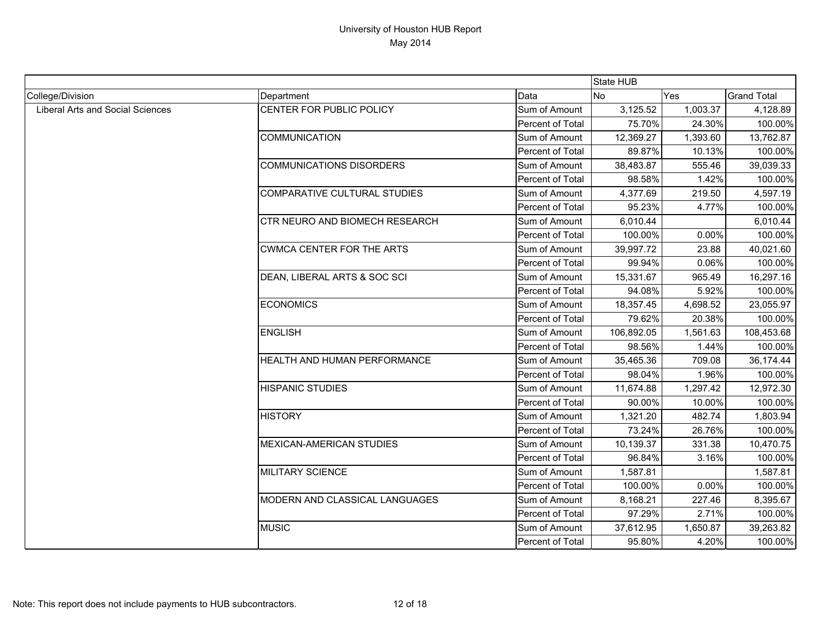|                                         |                                  |                  | State HUB  |          |                    |
|-----------------------------------------|----------------------------------|------------------|------------|----------|--------------------|
| College/Division                        | Department                       | Data             | <b>No</b>  | Yes      | <b>Grand Total</b> |
| <b>Liberal Arts and Social Sciences</b> | CENTER FOR PUBLIC POLICY         | Sum of Amount    | 3,125.52   | 1,003.37 | 4,128.89           |
|                                         |                                  | Percent of Total | 75.70%     | 24.30%   | 100.00%            |
|                                         | <b>COMMUNICATION</b>             | Sum of Amount    | 12,369.27  | 1,393.60 | 13,762.87          |
|                                         |                                  | Percent of Total | 89.87%     | 10.13%   | 100.00%            |
|                                         | <b>COMMUNICATIONS DISORDERS</b>  | Sum of Amount    | 38,483.87  | 555.46   | 39,039.33          |
|                                         |                                  | Percent of Total | 98.58%     | 1.42%    | 100.00%            |
|                                         | COMPARATIVE CULTURAL STUDIES     | Sum of Amount    | 4,377.69   | 219.50   | 4,597.19           |
|                                         |                                  | Percent of Total | 95.23%     | 4.77%    | 100.00%            |
|                                         | CTR NEURO AND BIOMECH RESEARCH   | Sum of Amount    | 6,010.44   |          | 6,010.44           |
|                                         |                                  | Percent of Total | 100.00%    | 0.00%    | 100.00%            |
|                                         | <b>CWMCA CENTER FOR THE ARTS</b> | Sum of Amount    | 39,997.72  | 23.88    | 40,021.60          |
|                                         |                                  | Percent of Total | 99.94%     | 0.06%    | 100.00%            |
|                                         | DEAN, LIBERAL ARTS & SOC SCI     | Sum of Amount    | 15,331.67  | 965.49   | 16,297.16          |
|                                         |                                  | Percent of Total | 94.08%     | 5.92%    | 100.00%            |
|                                         | <b>ECONOMICS</b>                 | Sum of Amount    | 18,357.45  | 4,698.52 | 23,055.97          |
|                                         |                                  | Percent of Total | 79.62%     | 20.38%   | 100.00%            |
|                                         | <b>ENGLISH</b>                   | Sum of Amount    | 106,892.05 | 1,561.63 | 108,453.68         |
|                                         |                                  | Percent of Total | 98.56%     | 1.44%    | 100.00%            |
|                                         | HEALTH AND HUMAN PERFORMANCE     | Sum of Amount    | 35,465.36  | 709.08   | 36,174.44          |
|                                         |                                  | Percent of Total | 98.04%     | 1.96%    | 100.00%            |
|                                         | <b>HISPANIC STUDIES</b>          | Sum of Amount    | 11,674.88  | 1,297.42 | 12,972.30          |
|                                         |                                  | Percent of Total | 90.00%     | 10.00%   | 100.00%            |
|                                         | <b>HISTORY</b>                   | Sum of Amount    | 1,321.20   | 482.74   | 1,803.94           |
|                                         |                                  | Percent of Total | 73.24%     | 26.76%   | 100.00%            |
|                                         | <b>MEXICAN-AMERICAN STUDIES</b>  | Sum of Amount    | 10,139.37  | 331.38   | 10,470.75          |
|                                         |                                  | Percent of Total | 96.84%     | 3.16%    | 100.00%            |
|                                         | <b>MILITARY SCIENCE</b>          | Sum of Amount    | 1,587.81   |          | 1,587.81           |
|                                         |                                  | Percent of Total | 100.00%    | 0.00%    | 100.00%            |
|                                         | MODERN AND CLASSICAL LANGUAGES   | Sum of Amount    | 8,168.21   | 227.46   | 8,395.67           |
|                                         |                                  | Percent of Total | 97.29%     | 2.71%    | 100.00%            |
|                                         | <b>MUSIC</b>                     | Sum of Amount    | 37,612.95  | 1,650.87 | 39,263.82          |
|                                         |                                  | Percent of Total | 95.80%     | 4.20%    | 100.00%            |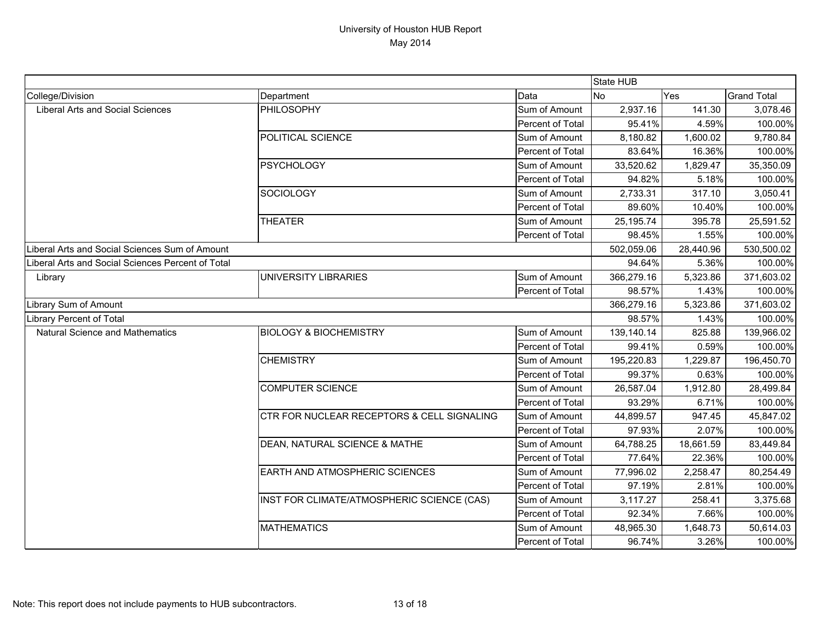|                                                   |                                            |                  | State HUB  |           |                    |
|---------------------------------------------------|--------------------------------------------|------------------|------------|-----------|--------------------|
| College/Division                                  | Department                                 | Data             | No         | Yes       | <b>Grand Total</b> |
| <b>Liberal Arts and Social Sciences</b>           | PHILOSOPHY                                 | Sum of Amount    | 2,937.16   | 141.30    | 3,078.46           |
|                                                   |                                            | Percent of Total | 95.41%     | 4.59%     | 100.00%            |
|                                                   | POLITICAL SCIENCE                          | Sum of Amount    | 8,180.82   | 1,600.02  | 9,780.84           |
|                                                   |                                            | Percent of Total | 83.64%     | 16.36%    | 100.00%            |
|                                                   | <b>PSYCHOLOGY</b>                          | Sum of Amount    | 33,520.62  | 1,829.47  | 35,350.09          |
|                                                   |                                            | Percent of Total | 94.82%     | 5.18%     | 100.00%            |
|                                                   | <b>SOCIOLOGY</b>                           | Sum of Amount    | 2,733.31   | 317.10    | 3,050.41           |
|                                                   |                                            | Percent of Total | 89.60%     | 10.40%    | 100.00%            |
|                                                   | <b>THEATER</b>                             | Sum of Amount    | 25, 195.74 | 395.78    | 25,591.52          |
|                                                   |                                            | Percent of Total | 98.45%     | 1.55%     | 100.00%            |
| Liberal Arts and Social Sciences Sum of Amount    |                                            |                  | 502,059.06 | 28,440.96 | 530,500.02         |
| Liberal Arts and Social Sciences Percent of Total |                                            |                  | 94.64%     | 5.36%     | 100.00%            |
| Library                                           | <b>UNIVERSITY LIBRARIES</b>                | Sum of Amount    | 366,279.16 | 5,323.86  | 371,603.02         |
|                                                   |                                            | Percent of Total | 98.57%     | 1.43%     | 100.00%            |
| Library Sum of Amount                             |                                            |                  | 366,279.16 | 5,323.86  | 371,603.02         |
| <b>Library Percent of Total</b>                   |                                            |                  | 98.57%     | 1.43%     | 100.00%            |
| <b>Natural Science and Mathematics</b>            | <b>BIOLOGY &amp; BIOCHEMISTRY</b>          | Sum of Amount    | 139,140.14 | 825.88    | 139,966.02         |
|                                                   |                                            | Percent of Total | 99.41%     | 0.59%     | 100.00%            |
|                                                   | <b>CHEMISTRY</b>                           | Sum of Amount    | 195,220.83 | 1,229.87  | 196,450.70         |
|                                                   |                                            | Percent of Total | 99.37%     | 0.63%     | 100.00%            |
|                                                   | <b>COMPUTER SCIENCE</b>                    | Sum of Amount    | 26,587.04  | 1,912.80  | 28,499.84          |
|                                                   |                                            | Percent of Total | 93.29%     | 6.71%     | 100.00%            |
|                                                   | CTR FOR NUCLEAR RECEPTORS & CELL SIGNALING | Sum of Amount    | 44,899.57  | 947.45    | 45,847.02          |
|                                                   |                                            | Percent of Total | 97.93%     | 2.07%     | 100.00%            |
|                                                   | DEAN, NATURAL SCIENCE & MATHE              | Sum of Amount    | 64,788.25  | 18,661.59 | 83,449.84          |
|                                                   |                                            | Percent of Total | 77.64%     | 22.36%    | 100.00%            |
|                                                   | <b>EARTH AND ATMOSPHERIC SCIENCES</b>      | Sum of Amount    | 77,996.02  | 2,258.47  | 80,254.49          |
|                                                   |                                            | Percent of Total | 97.19%     | 2.81%     | 100.00%            |
|                                                   | INST FOR CLIMATE/ATMOSPHERIC SCIENCE (CAS) | Sum of Amount    | 3,117.27   | 258.41    | 3,375.68           |
|                                                   |                                            | Percent of Total | 92.34%     | 7.66%     | 100.00%            |
|                                                   | <b>MATHEMATICS</b>                         | Sum of Amount    | 48,965.30  | 1,648.73  | 50,614.03          |
|                                                   |                                            | Percent of Total | 96.74%     | 3.26%     | 100.00%            |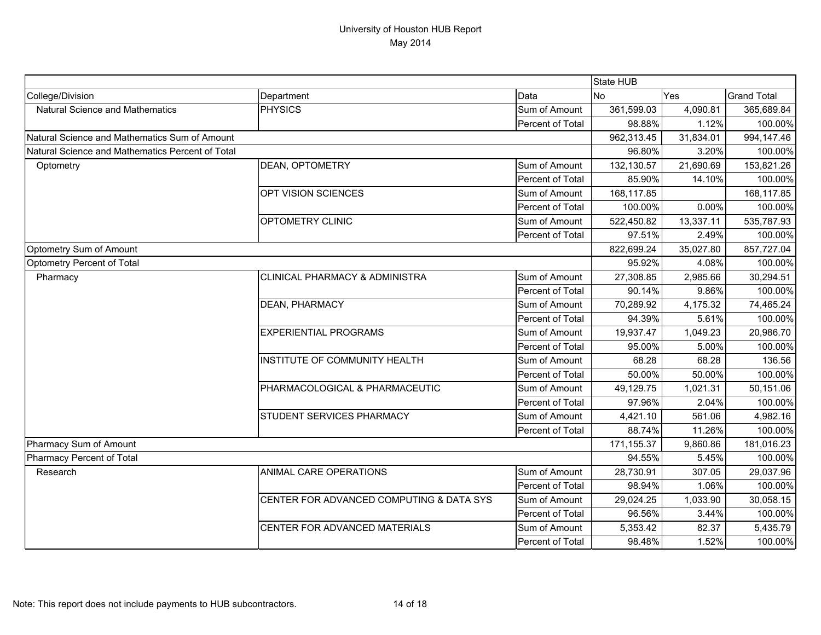|                                                  |                                           | State HUB        |             |           |                    |
|--------------------------------------------------|-------------------------------------------|------------------|-------------|-----------|--------------------|
| College/Division                                 | Department                                | Data             | No          | Yes       | <b>Grand Total</b> |
| <b>Natural Science and Mathematics</b>           | <b>PHYSICS</b>                            | Sum of Amount    | 361,599.03  | 4,090.81  | 365,689.84         |
|                                                  |                                           | Percent of Total | 98.88%      | 1.12%     | 100.00%            |
| Natural Science and Mathematics Sum of Amount    |                                           |                  | 962,313.45  | 31,834.01 | 994,147.46         |
| Natural Science and Mathematics Percent of Total |                                           |                  | 96.80%      | 3.20%     | 100.00%            |
| Optometry                                        | <b>DEAN, OPTOMETRY</b>                    | Sum of Amount    | 132,130.57  | 21,690.69 | 153,821.26         |
|                                                  |                                           | Percent of Total | 85.90%      | 14.10%    | 100.00%            |
|                                                  | OPT VISION SCIENCES                       | Sum of Amount    | 168,117.85  |           | 168,117.85         |
|                                                  |                                           | Percent of Total | 100.00%     | 0.00%     | 100.00%            |
|                                                  | <b>OPTOMETRY CLINIC</b>                   | Sum of Amount    | 522,450.82  | 13,337.11 | 535,787.93         |
|                                                  |                                           | Percent of Total | 97.51%      | 2.49%     | 100.00%            |
| <b>Optometry Sum of Amount</b>                   |                                           |                  | 822,699.24  | 35,027.80 | 857,727.04         |
| Optometry Percent of Total                       |                                           |                  | 95.92%      | 4.08%     | 100.00%            |
| Pharmacy                                         | <b>CLINICAL PHARMACY &amp; ADMINISTRA</b> | Sum of Amount    | 27,308.85   | 2,985.66  | 30,294.51          |
|                                                  |                                           | Percent of Total | 90.14%      | 9.86%     | 100.00%            |
|                                                  | <b>DEAN, PHARMACY</b>                     | Sum of Amount    | 70,289.92   | 4,175.32  | 74,465.24          |
|                                                  |                                           | Percent of Total | 94.39%      | 5.61%     | 100.00%            |
|                                                  | <b>EXPERIENTIAL PROGRAMS</b>              | Sum of Amount    | 19,937.47   | 1,049.23  | 20,986.70          |
|                                                  |                                           | Percent of Total | 95.00%      | 5.00%     | 100.00%            |
|                                                  | INSTITUTE OF COMMUNITY HEALTH             | Sum of Amount    | 68.28       | 68.28     | 136.56             |
|                                                  |                                           | Percent of Total | 50.00%      | 50.00%    | 100.00%            |
|                                                  | PHARMACOLOGICAL & PHARMACEUTIC            | Sum of Amount    | 49,129.75   | 1,021.31  | 50,151.06          |
|                                                  |                                           | Percent of Total | 97.96%      | 2.04%     | 100.00%            |
|                                                  | <b>STUDENT SERVICES PHARMACY</b>          | Sum of Amount    | 4,421.10    | 561.06    | 4,982.16           |
|                                                  |                                           | Percent of Total | 88.74%      | 11.26%    | 100.00%            |
| Pharmacy Sum of Amount                           |                                           |                  | 171, 155.37 | 9,860.86  | 181,016.23         |
| <b>Pharmacy Percent of Total</b>                 |                                           |                  | 94.55%      | 5.45%     | 100.00%            |
| Research                                         | ANIMAL CARE OPERATIONS                    | Sum of Amount    | 28,730.91   | 307.05    | 29,037.96          |
|                                                  |                                           | Percent of Total | 98.94%      | 1.06%     | 100.00%            |
|                                                  | CENTER FOR ADVANCED COMPUTING & DATA SYS  | Sum of Amount    | 29,024.25   | 1,033.90  | 30,058.15          |
|                                                  |                                           | Percent of Total | 96.56%      | 3.44%     | 100.00%            |
|                                                  | CENTER FOR ADVANCED MATERIALS             | Sum of Amount    | 5,353.42    | 82.37     | 5,435.79           |
|                                                  |                                           | Percent of Total | 98.48%      | 1.52%     | 100.00%            |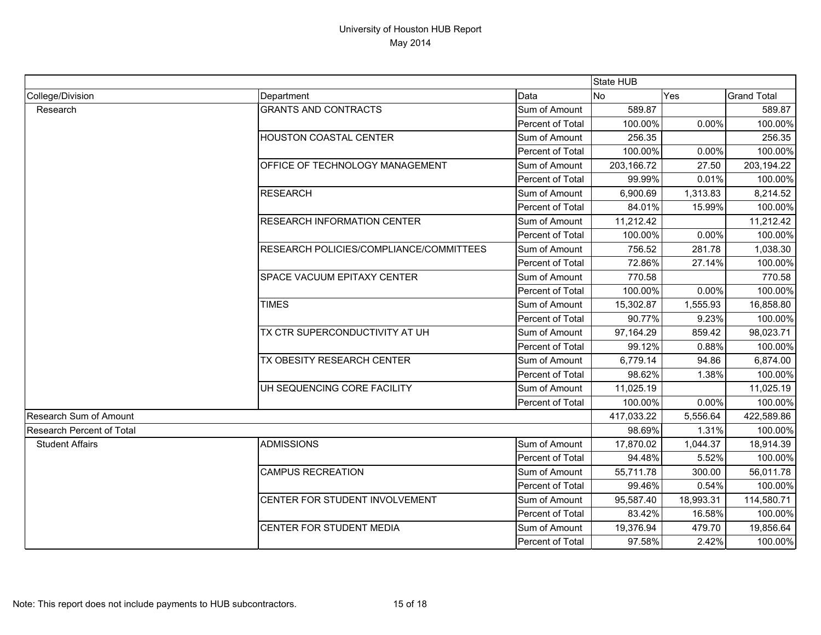|                                  |                                         |                  | State HUB  |           |                    |
|----------------------------------|-----------------------------------------|------------------|------------|-----------|--------------------|
| College/Division                 | Department                              | Data             | <b>No</b>  | Yes       | <b>Grand Total</b> |
| Research                         | <b>GRANTS AND CONTRACTS</b>             | Sum of Amount    | 589.87     |           | 589.87             |
|                                  |                                         | Percent of Total | 100.00%    | 0.00%     | 100.00%            |
|                                  | <b>HOUSTON COASTAL CENTER</b>           | Sum of Amount    | 256.35     |           | 256.35             |
|                                  |                                         | Percent of Total | 100.00%    | 0.00%     | 100.00%            |
|                                  | <b>OFFICE OF TECHNOLOGY MANAGEMENT</b>  | Sum of Amount    | 203,166.72 | 27.50     | 203,194.22         |
|                                  |                                         | Percent of Total | 99.99%     | 0.01%     | 100.00%            |
|                                  | <b>RESEARCH</b>                         | Sum of Amount    | 6,900.69   | 1,313.83  | 8,214.52           |
|                                  |                                         | Percent of Total | 84.01%     | 15.99%    | 100.00%            |
|                                  | <b>RESEARCH INFORMATION CENTER</b>      | Sum of Amount    | 11,212.42  |           | 11,212.42          |
|                                  |                                         | Percent of Total | 100.00%    | 0.00%     | 100.00%            |
|                                  | RESEARCH POLICIES/COMPLIANCE/COMMITTEES | Sum of Amount    | 756.52     | 281.78    | 1,038.30           |
|                                  |                                         | Percent of Total | 72.86%     | 27.14%    | 100.00%            |
|                                  | SPACE VACUUM EPITAXY CENTER             | Sum of Amount    | 770.58     |           | 770.58             |
|                                  |                                         | Percent of Total | 100.00%    | 0.00%     | 100.00%            |
|                                  | <b>TIMES</b>                            | Sum of Amount    | 15,302.87  | 1,555.93  | 16,858.80          |
|                                  |                                         | Percent of Total | 90.77%     | 9.23%     | 100.00%            |
|                                  | TX CTR SUPERCONDUCTIVITY AT UH          | Sum of Amount    | 97,164.29  | 859.42    | 98,023.71          |
|                                  |                                         | Percent of Total | 99.12%     | 0.88%     | 100.00%            |
|                                  | TX OBESITY RESEARCH CENTER              | Sum of Amount    | 6,779.14   | 94.86     | 6,874.00           |
|                                  |                                         | Percent of Total | 98.62%     | 1.38%     | 100.00%            |
|                                  | UH SEQUENCING CORE FACILITY             | Sum of Amount    | 11,025.19  |           | 11,025.19          |
|                                  |                                         | Percent of Total | 100.00%    | 0.00%     | 100.00%            |
| <b>Research Sum of Amount</b>    |                                         |                  | 417,033.22 | 5,556.64  | 422,589.86         |
| <b>Research Percent of Total</b> |                                         |                  | 98.69%     | 1.31%     | 100.00%            |
| <b>Student Affairs</b>           | <b>ADMISSIONS</b>                       | Sum of Amount    | 17,870.02  | 1,044.37  | 18,914.39          |
|                                  |                                         | Percent of Total | 94.48%     | 5.52%     | 100.00%            |
|                                  | <b>CAMPUS RECREATION</b>                | Sum of Amount    | 55,711.78  | 300.00    | 56,011.78          |
|                                  |                                         | Percent of Total | 99.46%     | 0.54%     | 100.00%            |
|                                  | CENTER FOR STUDENT INVOLVEMENT          | Sum of Amount    | 95,587.40  | 18,993.31 | 114,580.71         |
|                                  |                                         | Percent of Total | 83.42%     | 16.58%    | 100.00%            |
|                                  | CENTER FOR STUDENT MEDIA                | Sum of Amount    | 19,376.94  | 479.70    | 19,856.64          |
|                                  |                                         | Percent of Total | 97.58%     | 2.42%     | 100.00%            |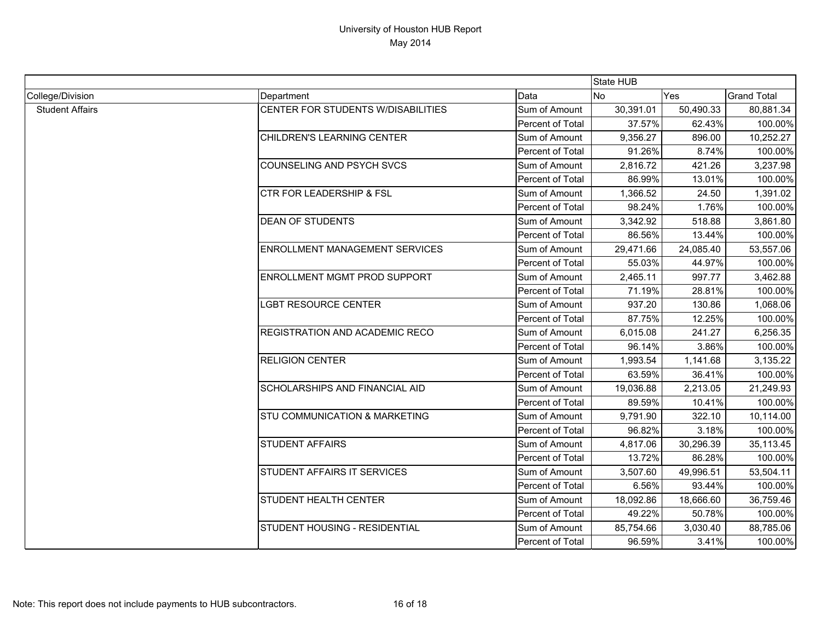|                        |                                          |                  | State HUB |           |                    |
|------------------------|------------------------------------------|------------------|-----------|-----------|--------------------|
| College/Division       | Department                               | Data             | <b>No</b> | Yes       | <b>Grand Total</b> |
| <b>Student Affairs</b> | CENTER FOR STUDENTS W/DISABILITIES       | Sum of Amount    | 30,391.01 | 50,490.33 | 80,881.34          |
|                        |                                          | Percent of Total | 37.57%    | 62.43%    | 100.00%            |
|                        | CHILDREN'S LEARNING CENTER               | Sum of Amount    | 9,356.27  | 896.00    | 10,252.27          |
|                        |                                          | Percent of Total | 91.26%    | 8.74%     | 100.00%            |
|                        | <b>COUNSELING AND PSYCH SVCS</b>         | Sum of Amount    | 2,816.72  | 421.26    | 3,237.98           |
|                        |                                          | Percent of Total | 86.99%    | 13.01%    | 100.00%            |
|                        | <b>CTR FOR LEADERSHIP &amp; FSL</b>      | Sum of Amount    | 1,366.52  | 24.50     | 1,391.02           |
|                        |                                          | Percent of Total | 98.24%    | 1.76%     | 100.00%            |
|                        | <b>DEAN OF STUDENTS</b>                  | Sum of Amount    | 3,342.92  | 518.88    | 3,861.80           |
|                        |                                          | Percent of Total | 86.56%    | 13.44%    | 100.00%            |
|                        | <b>ENROLLMENT MANAGEMENT SERVICES</b>    | Sum of Amount    | 29,471.66 | 24,085.40 | 53,557.06          |
|                        |                                          | Percent of Total | 55.03%    | 44.97%    | 100.00%            |
|                        | <b>ENROLLMENT MGMT PROD SUPPORT</b>      | Sum of Amount    | 2,465.11  | 997.77    | 3,462.88           |
|                        |                                          | Percent of Total | 71.19%    | 28.81%    | 100.00%            |
|                        | <b>LGBT RESOURCE CENTER</b>              | Sum of Amount    | 937.20    | 130.86    | 1,068.06           |
|                        |                                          | Percent of Total | 87.75%    | 12.25%    | 100.00%            |
|                        | REGISTRATION AND ACADEMIC RECO           | Sum of Amount    | 6,015.08  | 241.27    | 6,256.35           |
|                        |                                          | Percent of Total | 96.14%    | 3.86%     | 100.00%            |
|                        | <b>RELIGION CENTER</b>                   | Sum of Amount    | 1,993.54  | 1,141.68  | 3,135.22           |
|                        |                                          | Percent of Total | 63.59%    | 36.41%    | 100.00%            |
|                        | <b>SCHOLARSHIPS AND FINANCIAL AID</b>    | Sum of Amount    | 19,036.88 | 2,213.05  | 21,249.93          |
|                        |                                          | Percent of Total | 89.59%    | 10.41%    | 100.00%            |
|                        | <b>STU COMMUNICATION &amp; MARKETING</b> | Sum of Amount    | 9,791.90  | 322.10    | 10,114.00          |
|                        |                                          | Percent of Total | 96.82%    | 3.18%     | 100.00%            |
|                        | <b>STUDENT AFFAIRS</b>                   | Sum of Amount    | 4,817.06  | 30,296.39 | 35,113.45          |
|                        |                                          | Percent of Total | 13.72%    | 86.28%    | 100.00%            |
|                        | <b>STUDENT AFFAIRS IT SERVICES</b>       | Sum of Amount    | 3,507.60  | 49,996.51 | 53,504.11          |
|                        |                                          | Percent of Total | 6.56%     | 93.44%    | 100.00%            |
|                        | <b>STUDENT HEALTH CENTER</b>             | Sum of Amount    | 18,092.86 | 18,666.60 | 36,759.46          |
|                        |                                          | Percent of Total | 49.22%    | 50.78%    | 100.00%            |
|                        | <b>STUDENT HOUSING - RESIDENTIAL</b>     | Sum of Amount    | 85,754.66 | 3,030.40  | 88,785.06          |
|                        |                                          | Percent of Total | 96.59%    | 3.41%     | 100.00%            |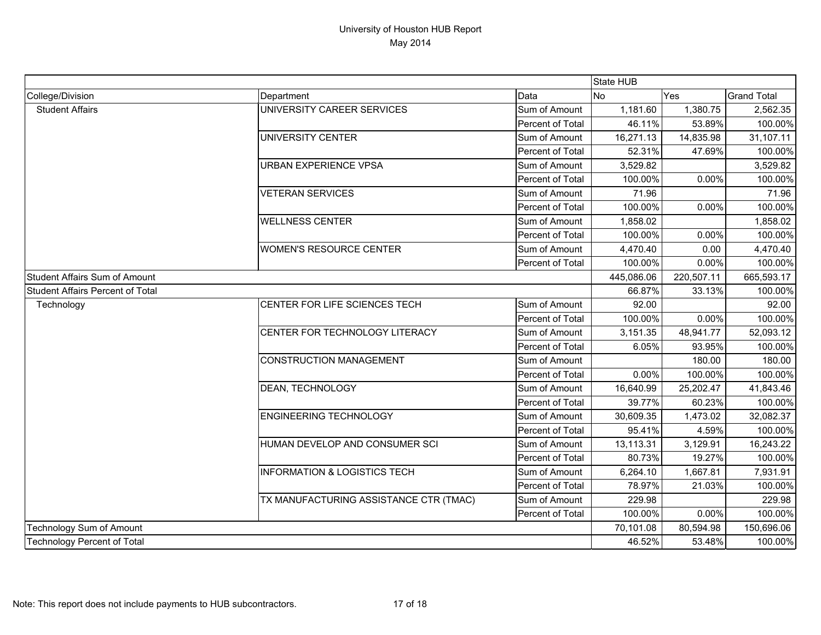|                                         |                                         |                  | State HUB             |            |                    |
|-----------------------------------------|-----------------------------------------|------------------|-----------------------|------------|--------------------|
| College/Division                        | Department                              | Data             | No                    | Yes        | <b>Grand Total</b> |
| <b>Student Affairs</b>                  | UNIVERSITY CAREER SERVICES              | Sum of Amount    | $\overline{1,}181.60$ | 1,380.75   | 2,562.35           |
|                                         |                                         | Percent of Total | 46.11%                | 53.89%     | 100.00%            |
|                                         | UNIVERSITY CENTER                       | Sum of Amount    | 16,271.13             | 14,835.98  | 31,107.11          |
|                                         |                                         | Percent of Total | 52.31%                | 47.69%     | 100.00%            |
|                                         | URBAN EXPERIENCE VPSA                   | Sum of Amount    | 3,529.82              |            | 3,529.82           |
|                                         |                                         | Percent of Total | 100.00%               | 0.00%      | 100.00%            |
|                                         | <b>VETERAN SERVICES</b>                 | Sum of Amount    | 71.96                 |            | 71.96              |
|                                         |                                         | Percent of Total | 100.00%               | 0.00%      | 100.00%            |
|                                         | <b>WELLNESS CENTER</b>                  | Sum of Amount    | 1,858.02              |            | 1,858.02           |
|                                         |                                         | Percent of Total | 100.00%               | 0.00%      | 100.00%            |
|                                         | <b>WOMEN'S RESOURCE CENTER</b>          | Sum of Amount    | 4,470.40              | 0.00       | 4,470.40           |
|                                         |                                         | Percent of Total | 100.00%               | 0.00%      | 100.00%            |
| <b>Student Affairs Sum of Amount</b>    |                                         |                  | 445,086.06            | 220,507.11 | 665,593.17         |
| <b>Student Affairs Percent of Total</b> |                                         |                  | 66.87%                | 33.13%     | 100.00%            |
| Technology                              | <b>CENTER FOR LIFE SCIENCES TECH</b>    | Sum of Amount    | 92.00                 |            | 92.00              |
|                                         |                                         | Percent of Total | 100.00%               | 0.00%      | 100.00%            |
|                                         | <b>CENTER FOR TECHNOLOGY LITERACY</b>   | Sum of Amount    | 3,151.35              | 48,941.77  | 52,093.12          |
|                                         |                                         | Percent of Total | 6.05%                 | 93.95%     | 100.00%            |
|                                         | <b>CONSTRUCTION MANAGEMENT</b>          | Sum of Amount    |                       | 180.00     | 180.00             |
|                                         |                                         | Percent of Total | 0.00%                 | 100.00%    | 100.00%            |
|                                         | <b>DEAN, TECHNOLOGY</b>                 | Sum of Amount    | 16,640.99             | 25,202.47  | 41,843.46          |
|                                         |                                         | Percent of Total | 39.77%                | 60.23%     | 100.00%            |
|                                         | <b>ENGINEERING TECHNOLOGY</b>           | Sum of Amount    | 30,609.35             | 1,473.02   | 32,082.37          |
|                                         |                                         | Percent of Total | 95.41%                | 4.59%      | 100.00%            |
|                                         | HUMAN DEVELOP AND CONSUMER SCI          | Sum of Amount    | 13,113.31             | 3,129.91   | 16,243.22          |
|                                         |                                         | Percent of Total | 80.73%                | 19.27%     | 100.00%            |
|                                         | <b>INFORMATION &amp; LOGISTICS TECH</b> | Sum of Amount    | 6,264.10              | 1,667.81   | 7,931.91           |
|                                         |                                         | Percent of Total | 78.97%                | 21.03%     | 100.00%            |
|                                         | TX MANUFACTURING ASSISTANCE CTR (TMAC)  | Sum of Amount    | 229.98                |            | 229.98             |
|                                         |                                         | Percent of Total | 100.00%               | 0.00%      | 100.00%            |
| Technology Sum of Amount                |                                         | 70,101.08        | 80,594.98             | 150,696.06 |                    |
| <b>Technology Percent of Total</b>      |                                         |                  | 46.52%                | 53.48%     | 100.00%            |